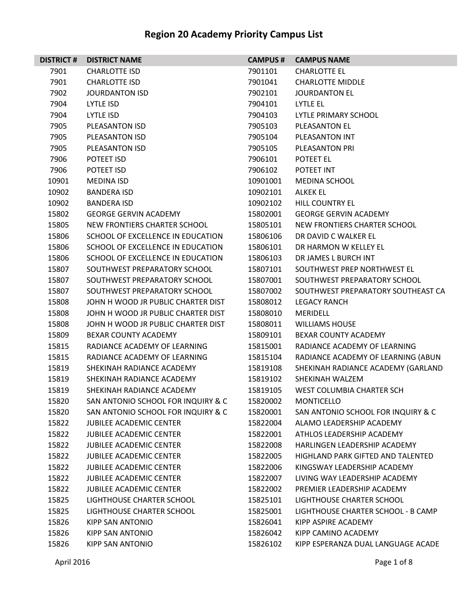| <b>DISTRICT#</b> | <b>DISTRICT NAME</b>               | <b>CAMPUS #</b> | <b>CAMPUS NAME</b>                       |
|------------------|------------------------------------|-----------------|------------------------------------------|
| 7901             | <b>CHARLOTTE ISD</b>               | 7901101         | <b>CHARLOTTE EL</b>                      |
| 7901             | <b>CHARLOTTE ISD</b>               | 7901041         | <b>CHARLOTTE MIDDLE</b>                  |
| 7902             | JOURDANTON ISD                     | 7902101         | <b>JOURDANTON EL</b>                     |
| 7904             | LYTLE ISD                          | 7904101         | LYTLE EL                                 |
| 7904             | LYTLE ISD                          | 7904103         | LYTLE PRIMARY SCHOOL                     |
| 7905             | PLEASANTON ISD                     | 7905103         | PLEASANTON EL                            |
| 7905             | PLEASANTON ISD                     | 7905104         | PLEASANTON INT                           |
| 7905             | PLEASANTON ISD                     | 7905105         | PLEASANTON PRI                           |
| 7906             | POTEET ISD                         | 7906101         | POTEET EL                                |
| 7906             | POTEET ISD                         | 7906102         | POTEET INT                               |
| 10901            | <b>MEDINA ISD</b>                  | 10901001        | <b>MEDINA SCHOOL</b>                     |
| 10902            | <b>BANDERA ISD</b>                 | 10902101        | <b>ALKEK EL</b>                          |
| 10902            | <b>BANDERA ISD</b>                 | 10902102        | <b>HILL COUNTRY EL</b>                   |
| 15802            | <b>GEORGE GERVIN ACADEMY</b>       | 15802001        | <b>GEORGE GERVIN ACADEMY</b>             |
| 15805            | NEW FRONTIERS CHARTER SCHOOL       | 15805101        | NEW FRONTIERS CHARTER SCHOOL             |
| 15806            | SCHOOL OF EXCELLENCE IN EDUCATION  | 15806106        | DR DAVID C WALKER EL                     |
| 15806            | SCHOOL OF EXCELLENCE IN EDUCATION  | 15806101        | DR HARMON W KELLEY EL                    |
| 15806            | SCHOOL OF EXCELLENCE IN EDUCATION  | 15806103        | DR JAMES L BURCH INT                     |
| 15807            | SOUTHWEST PREPARATORY SCHOOL       | 15807101        | SOUTHWEST PREP NORTHWEST EL              |
| 15807            | SOUTHWEST PREPARATORY SCHOOL       | 15807001        | SOUTHWEST PREPARATORY SCHOOL             |
| 15807            | SOUTHWEST PREPARATORY SCHOOL       | 15807002        | SOUTHWEST PREPARATORY SOUTHEAST CA       |
| 15808            | JOHN H WOOD JR PUBLIC CHARTER DIST | 15808012        | <b>LEGACY RANCH</b>                      |
| 15808            | JOHN H WOOD JR PUBLIC CHARTER DIST | 15808010        | <b>MERIDELL</b>                          |
| 15808            | JOHN H WOOD JR PUBLIC CHARTER DIST | 15808011        | <b>WILLIAMS HOUSE</b>                    |
| 15809            | BEXAR COUNTY ACADEMY               | 15809101        | BEXAR COUNTY ACADEMY                     |
| 15815            | RADIANCE ACADEMY OF LEARNING       | 15815001        | RADIANCE ACADEMY OF LEARNING             |
| 15815            | RADIANCE ACADEMY OF LEARNING       | 15815104        | RADIANCE ACADEMY OF LEARNING (ABUN       |
| 15819            | SHEKINAH RADIANCE ACADEMY          | 15819108        | SHEKINAH RADIANCE ACADEMY (GARLAND       |
| 15819            | SHEKINAH RADIANCE ACADEMY          | 15819102        | SHEKINAH WALZEM                          |
| 15819            | SHEKINAH RADIANCE ACADEMY          | 15819105        | WEST COLUMBIA CHARTER SCH                |
| 15820            | SAN ANTONIO SCHOOL FOR INQUIRY & C | 15820002        | <b>MONTICELLO</b>                        |
| 15820            | SAN ANTONIO SCHOOL FOR INQUIRY & C | 15820001        | SAN ANTONIO SCHOOL FOR INQUIRY & C       |
| 15822            | <b>JUBILEE ACADEMIC CENTER</b>     | 15822004        | ALAMO LEADERSHIP ACADEMY                 |
| 15822            | <b>JUBILEE ACADEMIC CENTER</b>     | 15822001        | ATHLOS LEADERSHIP ACADEMY                |
| 15822            | <b>JUBILEE ACADEMIC CENTER</b>     | 15822008        | HARLINGEN LEADERSHIP ACADEMY             |
| 15822            | <b>JUBILEE ACADEMIC CENTER</b>     | 15822005        | <b>HIGHLAND PARK GIFTED AND TALENTED</b> |
| 15822            | <b>JUBILEE ACADEMIC CENTER</b>     | 15822006        | KINGSWAY LEADERSHIP ACADEMY              |
| 15822            | <b>JUBILEE ACADEMIC CENTER</b>     | 15822007        | LIVING WAY LEADERSHIP ACADEMY            |
| 15822            | <b>JUBILEE ACADEMIC CENTER</b>     | 15822002        | PREMIER LEADERSHIP ACADEMY               |
| 15825            | LIGHTHOUSE CHARTER SCHOOL          | 15825101        | LIGHTHOUSE CHARTER SCHOOL                |
| 15825            | LIGHTHOUSE CHARTER SCHOOL          | 15825001        | LIGHTHOUSE CHARTER SCHOOL - B CAMP       |
| 15826            | <b>KIPP SAN ANTONIO</b>            | 15826041        | KIPP ASPIRE ACADEMY                      |
| 15826            | <b>KIPP SAN ANTONIO</b>            | 15826042        | KIPP CAMINO ACADEMY                      |
| 15826            | <b>KIPP SAN ANTONIO</b>            | 15826102        | KIPP ESPERANZA DUAL LANGUAGE ACADE       |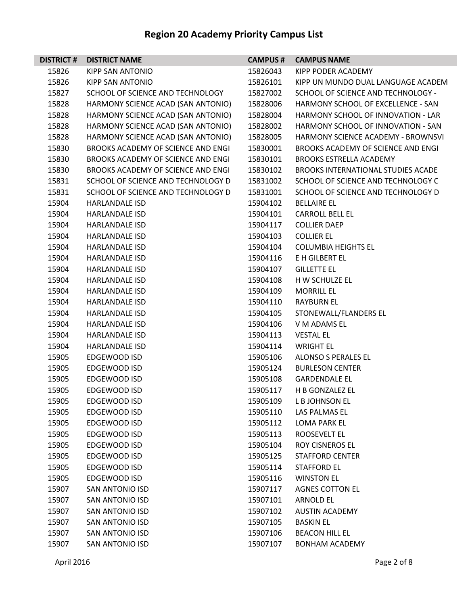| <b>DISTRICT#</b> | <b>DISTRICT NAME</b>               | <b>CAMPUS #</b> | <b>CAMPUS NAME</b>                        |
|------------------|------------------------------------|-----------------|-------------------------------------------|
| 15826            | KIPP SAN ANTONIO                   | 15826043        | KIPP PODER ACADEMY                        |
| 15826            | KIPP SAN ANTONIO                   | 15826101        | KIPP UN MUNDO DUAL LANGUAGE ACADEM        |
| 15827            | SCHOOL OF SCIENCE AND TECHNOLOGY   | 15827002        | SCHOOL OF SCIENCE AND TECHNOLOGY -        |
| 15828            | HARMONY SCIENCE ACAD (SAN ANTONIO) | 15828006        | HARMONY SCHOOL OF EXCELLENCE - SAN        |
| 15828            | HARMONY SCIENCE ACAD (SAN ANTONIO) | 15828004        | HARMONY SCHOOL OF INNOVATION - LAR        |
| 15828            | HARMONY SCIENCE ACAD (SAN ANTONIO) | 15828002        | HARMONY SCHOOL OF INNOVATION - SAN        |
| 15828            | HARMONY SCIENCE ACAD (SAN ANTONIO) | 15828005        | HARMONY SCIENCE ACADEMY - BROWNSVI        |
| 15830            | BROOKS ACADEMY OF SCIENCE AND ENGI | 15830001        | BROOKS ACADEMY OF SCIENCE AND ENGI        |
| 15830            | BROOKS ACADEMY OF SCIENCE AND ENGI | 15830101        | <b>BROOKS ESTRELLA ACADEMY</b>            |
| 15830            | BROOKS ACADEMY OF SCIENCE AND ENGI | 15830102        | <b>BROOKS INTERNATIONAL STUDIES ACADE</b> |
| 15831            | SCHOOL OF SCIENCE AND TECHNOLOGY D | 15831002        | SCHOOL OF SCIENCE AND TECHNOLOGY C        |
| 15831            | SCHOOL OF SCIENCE AND TECHNOLOGY D | 15831001        | SCHOOL OF SCIENCE AND TECHNOLOGY D        |
| 15904            | HARLANDALE ISD                     | 15904102        | <b>BELLAIRE EL</b>                        |
| 15904            | <b>HARLANDALE ISD</b>              | 15904101        | <b>CARROLL BELL EL</b>                    |
| 15904            | <b>HARLANDALE ISD</b>              | 15904117        | <b>COLLIER DAEP</b>                       |
| 15904            | HARLANDALE ISD                     | 15904103        | <b>COLLIER EL</b>                         |
| 15904            | HARLANDALE ISD                     | 15904104        | <b>COLUMBIA HEIGHTS EL</b>                |
| 15904            | <b>HARLANDALE ISD</b>              | 15904116        | E H GILBERT EL                            |
| 15904            | <b>HARLANDALE ISD</b>              | 15904107        | <b>GILLETTE EL</b>                        |
| 15904            | <b>HARLANDALE ISD</b>              | 15904108        | H W SCHULZE EL                            |
| 15904            | HARLANDALE ISD                     | 15904109        | <b>MORRILL EL</b>                         |
| 15904            | HARLANDALE ISD                     | 15904110        | <b>RAYBURN EL</b>                         |
| 15904            | HARLANDALE ISD                     | 15904105        | STONEWALL/FLANDERS EL                     |
| 15904            | HARLANDALE ISD                     | 15904106        | V M ADAMS EL                              |
| 15904            | <b>HARLANDALE ISD</b>              | 15904113        | <b>VESTAL EL</b>                          |
| 15904            | HARLANDALE ISD                     | 15904114        | <b>WRIGHT EL</b>                          |
| 15905            | EDGEWOOD ISD                       | 15905106        | ALONSO S PERALES EL                       |
| 15905            | EDGEWOOD ISD                       | 15905124        | <b>BURLESON CENTER</b>                    |
| 15905            | EDGEWOOD ISD                       | 15905108        | <b>GARDENDALE EL</b>                      |
| 15905            | <b>EDGEWOOD ISD</b>                | 15905117        | H B GONZALEZ EL                           |
| 15905            | EDGEWOOD ISD                       | 15905109        | L B JOHNSON EL                            |
| 15905            | EDGEWOOD ISD                       | 15905110        | LAS PALMAS EL                             |
| 15905            | EDGEWOOD ISD                       | 15905112        | LOMA PARK EL                              |
| 15905            | EDGEWOOD ISD                       | 15905113        | <b>ROOSEVELT EL</b>                       |
| 15905            | EDGEWOOD ISD                       | 15905104        | <b>ROY CISNEROS EL</b>                    |
| 15905            | EDGEWOOD ISD                       | 15905125        | <b>STAFFORD CENTER</b>                    |
| 15905            | EDGEWOOD ISD                       | 15905114        | STAFFORD EL                               |
| 15905            | EDGEWOOD ISD                       | 15905116        | <b>WINSTON EL</b>                         |
| 15907            | <b>SAN ANTONIO ISD</b>             | 15907117        | <b>AGNES COTTON EL</b>                    |
| 15907            | <b>SAN ANTONIO ISD</b>             | 15907101        | <b>ARNOLD EL</b>                          |
| 15907            | <b>SAN ANTONIO ISD</b>             | 15907102        | <b>AUSTIN ACADEMY</b>                     |
| 15907            | SAN ANTONIO ISD                    | 15907105        | <b>BASKIN EL</b>                          |
| 15907            | <b>SAN ANTONIO ISD</b>             | 15907106        | <b>BEACON HILL EL</b>                     |
| 15907            | <b>SAN ANTONIO ISD</b>             | 15907107        | <b>BONHAM ACADEMY</b>                     |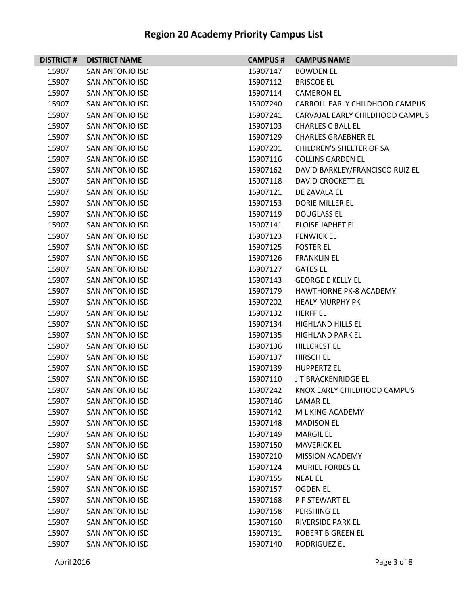| <b>DISTRICT#</b> | <b>DISTRICT NAME</b>   | <b>CAMPUS#</b> | <b>CAMPUS NAME</b>              |
|------------------|------------------------|----------------|---------------------------------|
| 15907            | <b>SAN ANTONIO ISD</b> | 15907147       | <b>BOWDEN EL</b>                |
| 15907            | <b>SAN ANTONIO ISD</b> | 15907112       | <b>BRISCOE EL</b>               |
| 15907            | <b>SAN ANTONIO ISD</b> | 15907114       | <b>CAMERON EL</b>               |
| 15907            | SAN ANTONIO ISD        | 15907240       | CARROLL EARLY CHILDHOOD CAMPUS  |
| 15907            | <b>SAN ANTONIO ISD</b> | 15907241       | CARVAJAL EARLY CHILDHOOD CAMPUS |
| 15907            | SAN ANTONIO ISD        | 15907103       | <b>CHARLES C BALL EL</b>        |
| 15907            | <b>SAN ANTONIO ISD</b> | 15907129       | <b>CHARLES GRAEBNER EL</b>      |
| 15907            | <b>SAN ANTONIO ISD</b> | 15907201       | <b>CHILDREN'S SHELTER OF SA</b> |
| 15907            | <b>SAN ANTONIO ISD</b> | 15907116       | <b>COLLINS GARDEN EL</b>        |
| 15907            | <b>SAN ANTONIO ISD</b> | 15907162       | DAVID BARKLEY/FRANCISCO RUIZ EL |
| 15907            | SAN ANTONIO ISD        | 15907118       | DAVID CROCKETT EL               |
| 15907            | SAN ANTONIO ISD        | 15907121       | DE ZAVALA EL                    |
| 15907            | <b>SAN ANTONIO ISD</b> | 15907153       | <b>DORIE MILLER EL</b>          |
| 15907            | SAN ANTONIO ISD        | 15907119       | <b>DOUGLASS EL</b>              |
| 15907            | <b>SAN ANTONIO ISD</b> | 15907141       | <b>ELOISE JAPHET EL</b>         |
| 15907            | <b>SAN ANTONIO ISD</b> | 15907123       | <b>FENWICK EL</b>               |
| 15907            | SAN ANTONIO ISD        | 15907125       | <b>FOSTER EL</b>                |
| 15907            | <b>SAN ANTONIO ISD</b> | 15907126       | <b>FRANKLIN EL</b>              |
| 15907            | <b>SAN ANTONIO ISD</b> | 15907127       | <b>GATES EL</b>                 |
| 15907            | <b>SAN ANTONIO ISD</b> | 15907143       | <b>GEORGE E KELLY EL</b>        |
| 15907            | SAN ANTONIO ISD        | 15907179       | <b>HAWTHORNE PK-8 ACADEMY</b>   |
| 15907            | SAN ANTONIO ISD        | 15907202       | <b>HEALY MURPHY PK</b>          |
| 15907            | <b>SAN ANTONIO ISD</b> | 15907132       | <b>HERFF EL</b>                 |
| 15907            | SAN ANTONIO ISD        | 15907134       | <b>HIGHLAND HILLS EL</b>        |
| 15907            | <b>SAN ANTONIO ISD</b> | 15907135       | <b>HIGHLAND PARK EL</b>         |
| 15907            | SAN ANTONIO ISD        | 15907136       | <b>HILLCREST EL</b>             |
| 15907            | SAN ANTONIO ISD        | 15907137       | HIRSCH EL                       |
| 15907            | <b>SAN ANTONIO ISD</b> | 15907139       | <b>HUPPERTZ EL</b>              |
| 15907            | SAN ANTONIO ISD        | 15907110       | J T BRACKENRIDGE EL             |
| 15907            | <b>SAN ANTONIO ISD</b> | 15907242       | KNOX EARLY CHILDHOOD CAMPUS     |
| 15907            | <b>SAN ANTONIO ISD</b> | 15907146       | LAMAR EL                        |
| 15907            | <b>SAN ANTONIO ISD</b> | 15907142       | M L KING ACADEMY                |
| 15907            | SAN ANTONIO ISD        | 15907148       | <b>MADISON EL</b>               |
| 15907            | <b>SAN ANTONIO ISD</b> | 15907149       | <b>MARGIL EL</b>                |
| 15907            | <b>SAN ANTONIO ISD</b> | 15907150       | <b>MAVERICK EL</b>              |
| 15907            | <b>SAN ANTONIO ISD</b> | 15907210       | <b>MISSION ACADEMY</b>          |
| 15907            | SAN ANTONIO ISD        | 15907124       | <b>MURIEL FORBES EL</b>         |
| 15907            | <b>SAN ANTONIO ISD</b> | 15907155       | <b>NEAL EL</b>                  |
| 15907            | <b>SAN ANTONIO ISD</b> | 15907157       | OGDEN EL                        |
| 15907            | <b>SAN ANTONIO ISD</b> | 15907168       | P F STEWART EL                  |
| 15907            | <b>SAN ANTONIO ISD</b> | 15907158       | PERSHING EL                     |
| 15907            | SAN ANTONIO ISD        | 15907160       | RIVERSIDE PARK EL               |
| 15907            | <b>SAN ANTONIO ISD</b> | 15907131       | <b>ROBERT B GREEN EL</b>        |
| 15907            | <b>SAN ANTONIO ISD</b> | 15907140       | <b>RODRIGUEZ EL</b>             |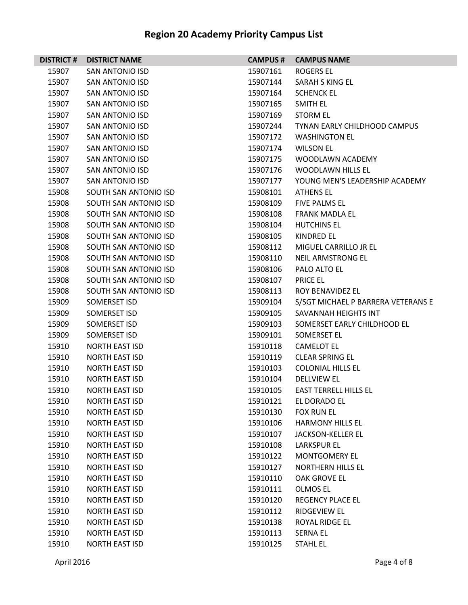| <b>DISTRICT#</b> | <b>DISTRICT NAME</b>   | <b>CAMPUS#</b> | <b>CAMPUS NAME</b>                 |
|------------------|------------------------|----------------|------------------------------------|
| 15907            | SAN ANTONIO ISD        | 15907161       | <b>ROGERS EL</b>                   |
| 15907            | SAN ANTONIO ISD        | 15907144       | SARAH S KING EL                    |
| 15907            | <b>SAN ANTONIO ISD</b> | 15907164       | <b>SCHENCK EL</b>                  |
| 15907            | SAN ANTONIO ISD        | 15907165       | SMITH EL                           |
| 15907            | SAN ANTONIO ISD        | 15907169       | <b>STORM EL</b>                    |
| 15907            | SAN ANTONIO ISD        | 15907244       | TYNAN EARLY CHILDHOOD CAMPUS       |
| 15907            | SAN ANTONIO ISD        | 15907172       | <b>WASHINGTON EL</b>               |
| 15907            | <b>SAN ANTONIO ISD</b> | 15907174       | <b>WILSON EL</b>                   |
| 15907            | SAN ANTONIO ISD        | 15907175       | WOODLAWN ACADEMY                   |
| 15907            | SAN ANTONIO ISD        | 15907176       | <b>WOODLAWN HILLS EL</b>           |
| 15907            | SAN ANTONIO ISD        | 15907177       | YOUNG MEN'S LEADERSHIP ACADEMY     |
| 15908            | SOUTH SAN ANTONIO ISD  | 15908101       | <b>ATHENS EL</b>                   |
| 15908            | SOUTH SAN ANTONIO ISD  | 15908109       | <b>FIVE PALMS EL</b>               |
| 15908            | SOUTH SAN ANTONIO ISD  | 15908108       | <b>FRANK MADLA EL</b>              |
| 15908            | SOUTH SAN ANTONIO ISD  | 15908104       | <b>HUTCHINS EL</b>                 |
| 15908            | SOUTH SAN ANTONIO ISD  | 15908105       | KINDRED EL                         |
| 15908            | SOUTH SAN ANTONIO ISD  | 15908112       | MIGUEL CARRILLO JR EL              |
| 15908            | SOUTH SAN ANTONIO ISD  | 15908110       | <b>NEIL ARMSTRONG EL</b>           |
| 15908            | SOUTH SAN ANTONIO ISD  | 15908106       | PALO ALTO EL                       |
| 15908            | SOUTH SAN ANTONIO ISD  | 15908107       | <b>PRICE EL</b>                    |
| 15908            | SOUTH SAN ANTONIO ISD  | 15908113       | ROY BENAVIDEZ EL                   |
| 15909            | SOMERSET ISD           | 15909104       | S/SGT MICHAEL P BARRERA VETERANS E |
| 15909            | SOMERSET ISD           | 15909105       | SAVANNAH HEIGHTS INT               |
| 15909            | SOMERSET ISD           | 15909103       | SOMERSET EARLY CHILDHOOD EL        |
| 15909            | SOMERSET ISD           | 15909101       | <b>SOMERSET EL</b>                 |
| 15910            | <b>NORTH EAST ISD</b>  | 15910118       | <b>CAMELOT EL</b>                  |
| 15910            | <b>NORTH EAST ISD</b>  | 15910119       | <b>CLEAR SPRING EL</b>             |
| 15910            | <b>NORTH EAST ISD</b>  | 15910103       | <b>COLONIAL HILLS EL</b>           |
| 15910            | <b>NORTH EAST ISD</b>  | 15910104       | <b>DELLVIEW EL</b>                 |
| 15910            | <b>NORTH EAST ISD</b>  | 15910105       | <b>EAST TERRELL HILLS EL</b>       |
| 15910            | <b>NORTH EAST ISD</b>  | 15910121       | EL DORADO EL                       |
| 15910            | <b>NORTH EAST ISD</b>  | 15910130       | <b>FOX RUN EL</b>                  |
| 15910            | <b>NORTH EAST ISD</b>  | 15910106       | <b>HARMONY HILLS EL</b>            |
| 15910            | <b>NORTH EAST ISD</b>  | 15910107       | JACKSON-KELLER EL                  |
| 15910            | <b>NORTH EAST ISD</b>  | 15910108       | <b>LARKSPUR EL</b>                 |
| 15910            | <b>NORTH EAST ISD</b>  | 15910122       | <b>MONTGOMERY EL</b>               |
| 15910            | <b>NORTH EAST ISD</b>  | 15910127       | <b>NORTHERN HILLS EL</b>           |
| 15910            | <b>NORTH EAST ISD</b>  | 15910110       | OAK GROVE EL                       |
| 15910            | <b>NORTH EAST ISD</b>  | 15910111       | OLMOS EL                           |
| 15910            | <b>NORTH EAST ISD</b>  | 15910120       | <b>REGENCY PLACE EL</b>            |
| 15910            | <b>NORTH EAST ISD</b>  | 15910112       | <b>RIDGEVIEW EL</b>                |
| 15910            | <b>NORTH EAST ISD</b>  | 15910138       | ROYAL RIDGE EL                     |
| 15910            | <b>NORTH EAST ISD</b>  | 15910113       | <b>SERNA EL</b>                    |
| 15910            | <b>NORTH EAST ISD</b>  | 15910125       | <b>STAHL EL</b>                    |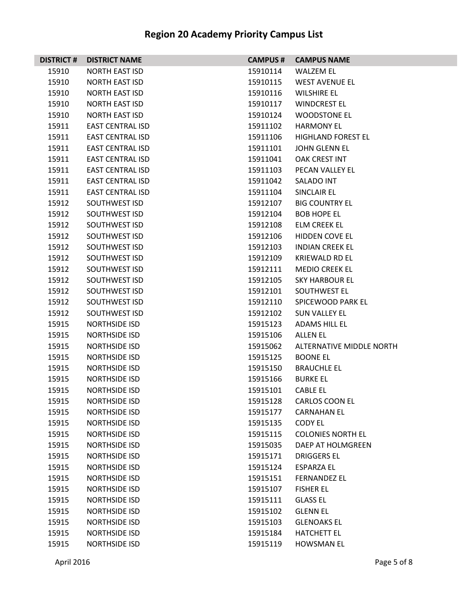| <b>DISTRICT#</b> | <b>DISTRICT NAME</b>    | <b>CAMPUS #</b> | <b>CAMPUS NAME</b>        |
|------------------|-------------------------|-----------------|---------------------------|
| 15910            | <b>NORTH EAST ISD</b>   | 15910114        | <b>WALZEM EL</b>          |
| 15910            | <b>NORTH EAST ISD</b>   | 15910115        | <b>WEST AVENUE EL</b>     |
| 15910            | <b>NORTH EAST ISD</b>   | 15910116        | <b>WILSHIRE EL</b>        |
| 15910            | <b>NORTH EAST ISD</b>   | 15910117        | <b>WINDCREST EL</b>       |
| 15910            | <b>NORTH EAST ISD</b>   | 15910124        | <b>WOODSTONE EL</b>       |
| 15911            | <b>EAST CENTRAL ISD</b> | 15911102        | <b>HARMONY EL</b>         |
| 15911            | <b>EAST CENTRAL ISD</b> | 15911106        | <b>HIGHLAND FOREST EL</b> |
| 15911            | <b>EAST CENTRAL ISD</b> | 15911101        | JOHN GLENN EL             |
| 15911            | <b>EAST CENTRAL ISD</b> | 15911041        | OAK CREST INT             |
| 15911            | <b>EAST CENTRAL ISD</b> | 15911103        | PECAN VALLEY EL           |
| 15911            | <b>EAST CENTRAL ISD</b> | 15911042        | <b>SALADO INT</b>         |
| 15911            | <b>EAST CENTRAL ISD</b> | 15911104        | SINCLAIR EL               |
| 15912            | SOUTHWEST ISD           | 15912107        | <b>BIG COUNTRY EL</b>     |
| 15912            | SOUTHWEST ISD           | 15912104        | <b>BOB HOPE EL</b>        |
| 15912            | SOUTHWEST ISD           | 15912108        | <b>ELM CREEK EL</b>       |
| 15912            | SOUTHWEST ISD           | 15912106        | HIDDEN COVE EL            |
| 15912            | SOUTHWEST ISD           | 15912103        | <b>INDIAN CREEK EL</b>    |
| 15912            | SOUTHWEST ISD           | 15912109        | <b>KRIEWALD RD EL</b>     |
| 15912            | SOUTHWEST ISD           | 15912111        | <b>MEDIO CREEK EL</b>     |
| 15912            | SOUTHWEST ISD           | 15912105        | <b>SKY HARBOUR EL</b>     |
| 15912            | SOUTHWEST ISD           | 15912101        | SOUTHWEST EL              |
| 15912            | SOUTHWEST ISD           | 15912110        | SPICEWOOD PARK EL         |
| 15912            | SOUTHWEST ISD           | 15912102        | <b>SUN VALLEY EL</b>      |
| 15915            | NORTHSIDE ISD           | 15915123        | ADAMS HILL EL             |
| 15915            | <b>NORTHSIDE ISD</b>    | 15915106        | <b>ALLEN EL</b>           |
| 15915            | <b>NORTHSIDE ISD</b>    | 15915062        | ALTERNATIVE MIDDLE NORTH  |
| 15915            | NORTHSIDE ISD           | 15915125        | <b>BOONE EL</b>           |
| 15915            | <b>NORTHSIDE ISD</b>    | 15915150        | <b>BRAUCHLE EL</b>        |
| 15915            | <b>NORTHSIDE ISD</b>    | 15915166        | <b>BURKE EL</b>           |
| 15915            | <b>NORTHSIDE ISD</b>    | 15915101        | <b>CABLE EL</b>           |
| 15915            | <b>NORTHSIDE ISD</b>    | 15915128        | <b>CARLOS COON EL</b>     |
| 15915            | <b>NORTHSIDE ISD</b>    | 15915177        | <b>CARNAHAN EL</b>        |
| 15915            | NORTHSIDE ISD           | 15915135        | <b>CODY EL</b>            |
| 15915            | <b>NORTHSIDE ISD</b>    | 15915115        | <b>COLONIES NORTH EL</b>  |
| 15915            | <b>NORTHSIDE ISD</b>    | 15915035        | DAEP AT HOLMGREEN         |
| 15915            | <b>NORTHSIDE ISD</b>    | 15915171        | <b>DRIGGERS EL</b>        |
| 15915            | <b>NORTHSIDE ISD</b>    | 15915124        | <b>ESPARZA EL</b>         |
| 15915            | <b>NORTHSIDE ISD</b>    | 15915151        | <b>FERNANDEZ EL</b>       |
| 15915            | <b>NORTHSIDE ISD</b>    | 15915107        | <b>FISHER EL</b>          |
| 15915            | <b>NORTHSIDE ISD</b>    | 15915111        | <b>GLASS EL</b>           |
| 15915            | <b>NORTHSIDE ISD</b>    | 15915102        | <b>GLENN EL</b>           |
| 15915            | <b>NORTHSIDE ISD</b>    | 15915103        | <b>GLENOAKS EL</b>        |
| 15915            | <b>NORTHSIDE ISD</b>    | 15915184        | <b>HATCHETT EL</b>        |
| 15915            | <b>NORTHSIDE ISD</b>    | 15915119        | <b>HOWSMAN EL</b>         |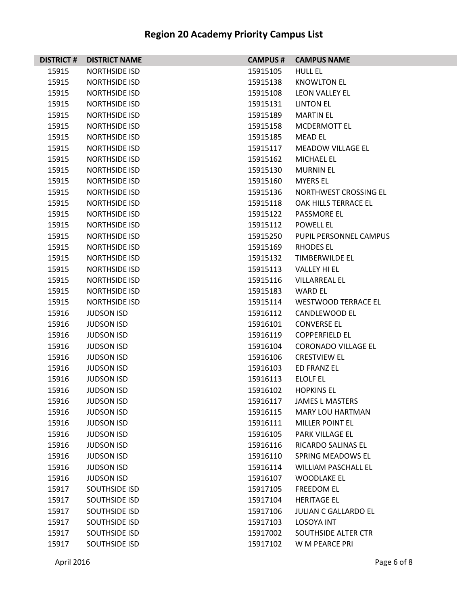| <b>DISTRICT#</b> | <b>DISTRICT NAME</b> | <b>CAMPUS#</b> | <b>CAMPUS NAME</b>          |
|------------------|----------------------|----------------|-----------------------------|
| 15915            | <b>NORTHSIDE ISD</b> | 15915105       | <b>HULL EL</b>              |
| 15915            | NORTHSIDE ISD        | 15915138       | <b>KNOWLTON EL</b>          |
| 15915            | <b>NORTHSIDE ISD</b> | 15915108       | <b>LEON VALLEY EL</b>       |
| 15915            | <b>NORTHSIDE ISD</b> | 15915131       | <b>LINTON EL</b>            |
| 15915            | <b>NORTHSIDE ISD</b> | 15915189       | <b>MARTIN EL</b>            |
| 15915            | <b>NORTHSIDE ISD</b> | 15915158       | MCDERMOTT EL                |
| 15915            | NORTHSIDE ISD        | 15915185       | MEAD EL                     |
| 15915            | <b>NORTHSIDE ISD</b> | 15915117       | <b>MEADOW VILLAGE EL</b>    |
| 15915            | <b>NORTHSIDE ISD</b> | 15915162       | <b>MICHAEL EL</b>           |
| 15915            | <b>NORTHSIDE ISD</b> | 15915130       | <b>MURNIN EL</b>            |
| 15915            | <b>NORTHSIDE ISD</b> | 15915160       | <b>MYERS EL</b>             |
| 15915            | NORTHSIDE ISD        | 15915136       | NORTHWEST CROSSING EL       |
| 15915            | <b>NORTHSIDE ISD</b> | 15915118       | OAK HILLS TERRACE EL        |
| 15915            | <b>NORTHSIDE ISD</b> | 15915122       | <b>PASSMORE EL</b>          |
| 15915            | <b>NORTHSIDE ISD</b> | 15915112       | <b>POWELL EL</b>            |
| 15915            | <b>NORTHSIDE ISD</b> | 15915250       | PUPIL PERSONNEL CAMPUS      |
| 15915            | NORTHSIDE ISD        | 15915169       | RHODES EL                   |
| 15915            | <b>NORTHSIDE ISD</b> | 15915132       | <b>TIMBERWILDE EL</b>       |
| 15915            | <b>NORTHSIDE ISD</b> | 15915113       | <b>VALLEY HI EL</b>         |
| 15915            | <b>NORTHSIDE ISD</b> | 15915116       | <b>VILLARREAL EL</b>        |
| 15915            | <b>NORTHSIDE ISD</b> | 15915183       | <b>WARD EL</b>              |
| 15915            | NORTHSIDE ISD        | 15915114       | <b>WESTWOOD TERRACE EL</b>  |
| 15916            | <b>JUDSON ISD</b>    | 15916112       | <b>CANDLEWOOD EL</b>        |
| 15916            | <b>JUDSON ISD</b>    | 15916101       | <b>CONVERSE EL</b>          |
| 15916            | <b>JUDSON ISD</b>    | 15916119       | <b>COPPERFIELD EL</b>       |
| 15916            | <b>JUDSON ISD</b>    | 15916104       | <b>CORONADO VILLAGE EL</b>  |
| 15916            | <b>JUDSON ISD</b>    | 15916106       | <b>CRESTVIEW EL</b>         |
| 15916            | <b>JUDSON ISD</b>    | 15916103       | ED FRANZ EL                 |
| 15916            | <b>JUDSON ISD</b>    | 15916113       | ELOLF EL                    |
| 15916            | <b>JUDSON ISD</b>    | 15916102       | <b>HOPKINS EL</b>           |
| 15916            | <b>JUDSON ISD</b>    | 15916117       | <b>JAMES L MASTERS</b>      |
| 15916            | <b>JUDSON ISD</b>    | 15916115       | <b>MARY LOU HARTMAN</b>     |
| 15916            | <b>JUDSON ISD</b>    | 15916111       | MILLER POINT EL             |
| 15916            | <b>JUDSON ISD</b>    | 15916105       | PARK VILLAGE EL             |
| 15916            | <b>JUDSON ISD</b>    | 15916116       | <b>RICARDO SALINAS EL</b>   |
| 15916            | <b>JUDSON ISD</b>    | 15916110       | SPRING MEADOWS EL           |
| 15916            | <b>JUDSON ISD</b>    | 15916114       | <b>WILLIAM PASCHALL EL</b>  |
| 15916            | <b>JUDSON ISD</b>    | 15916107       | <b>WOODLAKE EL</b>          |
| 15917            | <b>SOUTHSIDE ISD</b> | 15917105       | <b>FREEDOM EL</b>           |
| 15917            | <b>SOUTHSIDE ISD</b> | 15917104       | <b>HERITAGE EL</b>          |
| 15917            | <b>SOUTHSIDE ISD</b> | 15917106       | <b>JULIAN C GALLARDO EL</b> |
| 15917            | <b>SOUTHSIDE ISD</b> | 15917103       | <b>LOSOYA INT</b>           |
| 15917            | <b>SOUTHSIDE ISD</b> | 15917002       | SOUTHSIDE ALTER CTR         |
| 15917            | <b>SOUTHSIDE ISD</b> | 15917102       | W M PEARCE PRI              |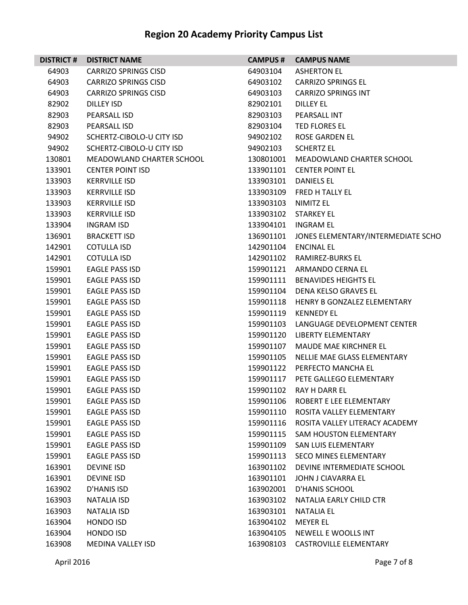| <b>DISTRICT#</b> | <b>DISTRICT NAME</b>        | <b>CAMPUS#</b> | <b>CAMPUS NAME</b>                 |
|------------------|-----------------------------|----------------|------------------------------------|
| 64903            | <b>CARRIZO SPRINGS CISD</b> | 64903104       | <b>ASHERTON EL</b>                 |
| 64903            | <b>CARRIZO SPRINGS CISD</b> | 64903102       | <b>CARRIZO SPRINGS EL</b>          |
| 64903            | <b>CARRIZO SPRINGS CISD</b> | 64903103       | <b>CARRIZO SPRINGS INT</b>         |
| 82902            | DILLEY ISD                  | 82902101       | <b>DILLEY EL</b>                   |
| 82903            | PEARSALL ISD                | 82903103       | PEARSALL INT                       |
| 82903            | PEARSALL ISD                | 82903104       | TED FLORES EL                      |
| 94902            | SCHERTZ-CIBOLO-U CITY ISD   | 94902102       | ROSE GARDEN EL                     |
| 94902            | SCHERTZ-CIBOLO-U CITY ISD   | 94902103       | <b>SCHERTZ EL</b>                  |
| 130801           | MEADOWLAND CHARTER SCHOOL   | 130801001      | MEADOWLAND CHARTER SCHOOL          |
| 133901           | <b>CENTER POINT ISD</b>     | 133901101      | <b>CENTER POINT EL</b>             |
| 133903           | <b>KERRVILLE ISD</b>        | 133903101      | DANIELS EL                         |
| 133903           | <b>KERRVILLE ISD</b>        | 133903109      | FRED H TALLY EL                    |
| 133903           | <b>KERRVILLE ISD</b>        | 133903103      | NIMITZ EL                          |
| 133903           | <b>KERRVILLE ISD</b>        | 133903102      | <b>STARKEY EL</b>                  |
| 133904           | <b>INGRAM ISD</b>           | 133904101      | INGRAM EL                          |
| 136901           | <b>BRACKETT ISD</b>         | 136901101      | JONES ELEMENTARY/INTERMEDIATE SCHO |
| 142901           | <b>COTULLA ISD</b>          | 142901104      | <b>ENCINAL EL</b>                  |
| 142901           | <b>COTULLA ISD</b>          | 142901102      | RAMIREZ-BURKS EL                   |
| 159901           | <b>EAGLE PASS ISD</b>       | 159901121      | ARMANDO CERNA EL                   |
| 159901           | <b>EAGLE PASS ISD</b>       | 159901111      | <b>BENAVIDES HEIGHTS EL</b>        |
| 159901           | <b>EAGLE PASS ISD</b>       | 159901104      | DENA KELSO GRAVES EL               |
| 159901           | EAGLE PASS ISD              | 159901118      | HENRY B GONZALEZ ELEMENTARY        |
| 159901           | <b>EAGLE PASS ISD</b>       | 159901119      | <b>KENNEDY EL</b>                  |
| 159901           | <b>EAGLE PASS ISD</b>       | 159901103      | LANGUAGE DEVELOPMENT CENTER        |
| 159901           | <b>EAGLE PASS ISD</b>       | 159901120      | <b>LIBERTY ELEMENTARY</b>          |
| 159901           | <b>EAGLE PASS ISD</b>       | 159901107      | MAUDE MAE KIRCHNER EL              |
| 159901           | <b>EAGLE PASS ISD</b>       | 159901105      | NELLIE MAE GLASS ELEMENTARY        |
| 159901           | <b>EAGLE PASS ISD</b>       | 159901122      | PERFECTO MANCHA EL                 |
| 159901           | EAGLE PASS ISD              | 159901117      | PETE GALLEGO ELEMENTARY            |
| 159901           | <b>EAGLE PASS ISD</b>       | 159901102      | <b>RAY H DARR EL</b>               |
| 159901           | <b>EAGLE PASS ISD</b>       | 159901106      | ROBERT E LEE ELEMENTARY            |
| 159901           | <b>EAGLE PASS ISD</b>       | 159901110      | ROSITA VALLEY ELEMENTARY           |
| 159901           | <b>EAGLE PASS ISD</b>       | 159901116      | ROSITA VALLEY LITERACY ACADEMY     |
| 159901           | <b>EAGLE PASS ISD</b>       | 159901115      | <b>SAM HOUSTON ELEMENTARY</b>      |
| 159901           | <b>EAGLE PASS ISD</b>       | 159901109      | SAN LUIS ELEMENTARY                |
| 159901           | <b>EAGLE PASS ISD</b>       | 159901113      | <b>SECO MINES ELEMENTARY</b>       |
| 163901           | <b>DEVINE ISD</b>           | 163901102      | DEVINE INTERMEDIATE SCHOOL         |
| 163901           | <b>DEVINE ISD</b>           | 163901101      | JOHN J CIAVARRA EL                 |
| 163902           | D'HANIS ISD                 | 163902001      | D'HANIS SCHOOL                     |
| 163903           | <b>NATALIA ISD</b>          | 163903102      | NATALIA EARLY CHILD CTR            |
| 163903           | <b>NATALIA ISD</b>          | 163903101      | <b>NATALIA EL</b>                  |
| 163904           | HONDO ISD                   | 163904102      | <b>MEYER EL</b>                    |
| 163904           | HONDO ISD                   | 163904105      | NEWELL E WOOLLS INT                |
| 163908           | <b>MEDINA VALLEY ISD</b>    | 163908103      | <b>CASTROVILLE ELEMENTARY</b>      |